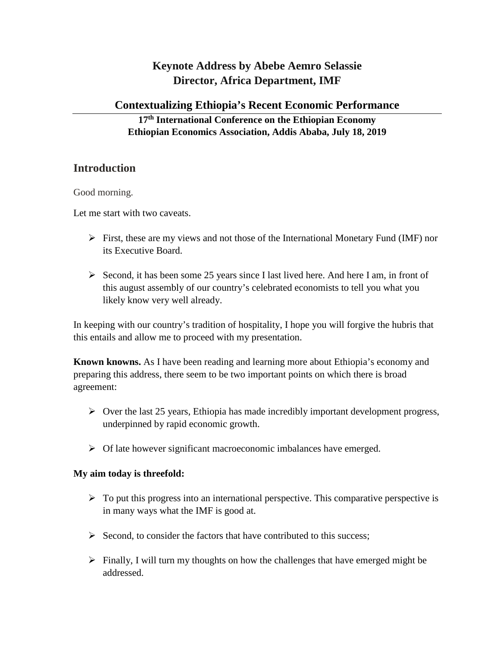# **Keynote Address by Abebe Aemro Selassie Director, Africa Department, IMF**

### **Contextualizing Ethiopia's Recent Economic Performance**

### **17th International Conference on the Ethiopian Economy Ethiopian Economics Association, Addis Ababa, July 18, 2019**

# **Introduction**

Good morning.

Let me start with two caveats.

- $\triangleright$  First, these are my views and not those of the International Monetary Fund (IMF) nor its Executive Board.
- $\triangleright$  Second, it has been some 25 years since I last lived here. And here I am, in front of this august assembly of our country's celebrated economists to tell you what you likely know very well already.

In keeping with our country's tradition of hospitality, I hope you will forgive the hubris that this entails and allow me to proceed with my presentation.

**Known knowns.** As I have been reading and learning more about Ethiopia's economy and preparing this address, there seem to be two important points on which there is broad agreement:

- $\triangleright$  Over the last 25 years, Ethiopia has made incredibly important development progress, underpinned by rapid economic growth.
- $\triangleright$  Of late however significant macroeconomic imbalances have emerged.

### **My aim today is threefold:**

- $\triangleright$  To put this progress into an international perspective. This comparative perspective is in many ways what the IMF is good at.
- $\triangleright$  Second, to consider the factors that have contributed to this success;
- $\triangleright$  Finally, I will turn my thoughts on how the challenges that have emerged might be addressed.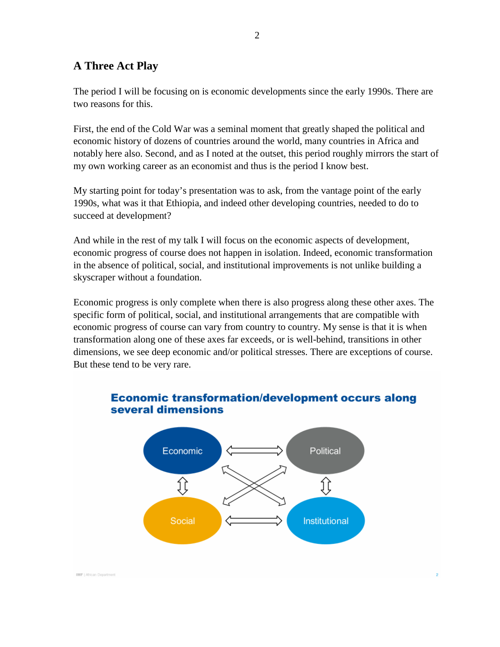## **A Three Act Play**

The period I will be focusing on is economic developments since the early 1990s. There are two reasons for this.

First, the end of the Cold War was a seminal moment that greatly shaped the political and economic history of dozens of countries around the world, many countries in Africa and notably here also. Second, and as I noted at the outset, this period roughly mirrors the start of my own working career as an economist and thus is the period I know best.

My starting point for today's presentation was to ask, from the vantage point of the early 1990s, what was it that Ethiopia, and indeed other developing countries, needed to do to succeed at development?

And while in the rest of my talk I will focus on the economic aspects of development, economic progress of course does not happen in isolation. Indeed, economic transformation in the absence of political, social, and institutional improvements is not unlike building a skyscraper without a foundation.

Economic progress is only complete when there is also progress along these other axes. The specific form of political, social, and institutional arrangements that are compatible with economic progress of course can vary from country to country. My sense is that it is when transformation along one of these axes far exceeds, or is well-behind, transitions in other dimensions, we see deep economic and/or political stresses. There are exceptions of course. But these tend to be very rare.



### **Economic transformation/development occurs along** several dimensions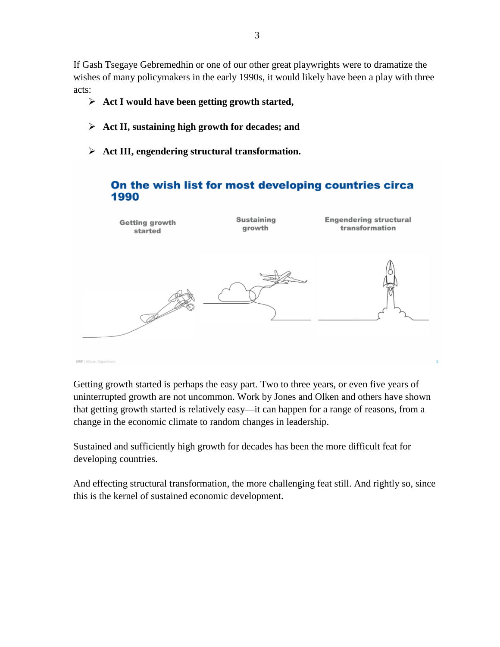If Gash Tsegaye Gebremedhin or one of our other great playwrights were to dramatize the wishes of many policymakers in the early 1990s, it would likely have been a play with three acts:

- **Act I would have been getting growth started,**
- **Act II, sustaining high growth for decades; and**
- **Act III, engendering structural transformation.**



Getting growth started is perhaps the easy part. Two to three years, or even five years of uninterrupted growth are not uncommon. Work by Jones and Olken and others have shown that getting growth started is relatively easy—it can happen for a range of reasons, from a change in the economic climate to random changes in leadership.

Sustained and sufficiently high growth for decades has been the more difficult feat for developing countries.

And effecting structural transformation, the more challenging feat still. And rightly so, since this is the kernel of sustained economic development.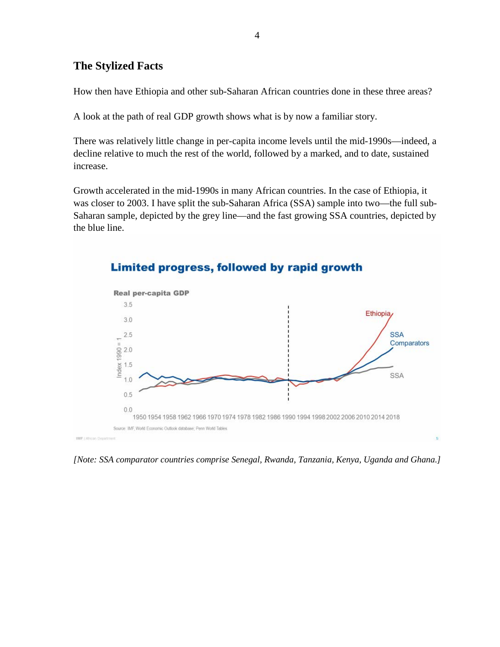## **The Stylized Facts**

How then have Ethiopia and other sub-Saharan African countries done in these three areas?

A look at the path of real GDP growth shows what is by now a familiar story.

There was relatively little change in per-capita income levels until the mid-1990s—indeed, a decline relative to much the rest of the world, followed by a marked, and to date, sustained increase.

Growth accelerated in the mid-1990s in many African countries. In the case of Ethiopia, it was closer to 2003. I have split the sub-Saharan Africa (SSA) sample into two—the full sub-Saharan sample, depicted by the grey line—and the fast growing SSA countries, depicted by the blue line.



# Limited progress, followed by rapid growth

*[Note: SSA comparator countries comprise Senegal, Rwanda, Tanzania, Kenya, Uganda and Ghana.]*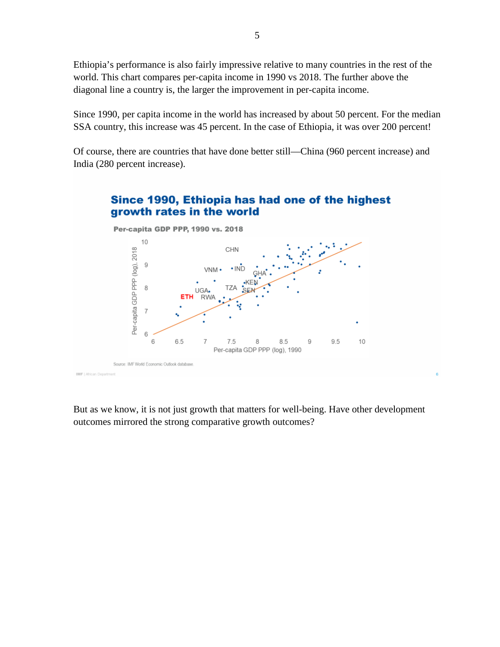Ethiopia's performance is also fairly impressive relative to many countries in the rest of the world. This chart compares per-capita income in 1990 vs 2018. The further above the diagonal line a country is, the larger the improvement in per-capita income.

Since 1990, per capita income in the world has increased by about 50 percent. For the median SSA country, this increase was 45 percent. In the case of Ethiopia, it was over 200 percent!

Of course, there are countries that have done better still—China (960 percent increase) and India (280 percent increase).



But as we know, it is not just growth that matters for well-being. Have other development outcomes mirrored the strong comparative growth outcomes?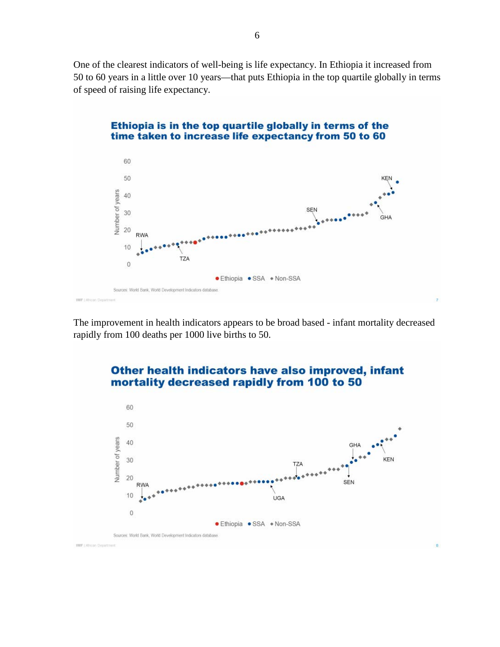One of the clearest indicators of well-being is life expectancy. In Ethiopia it increased from 50 to 60 years in a little over 10 years—that puts Ethiopia in the top quartile globally in terms of speed of raising life expectancy.



### The improvement in health indicators appears to be broad based - infant mortality decreased rapidly from 100 deaths per 1000 live births to 50.

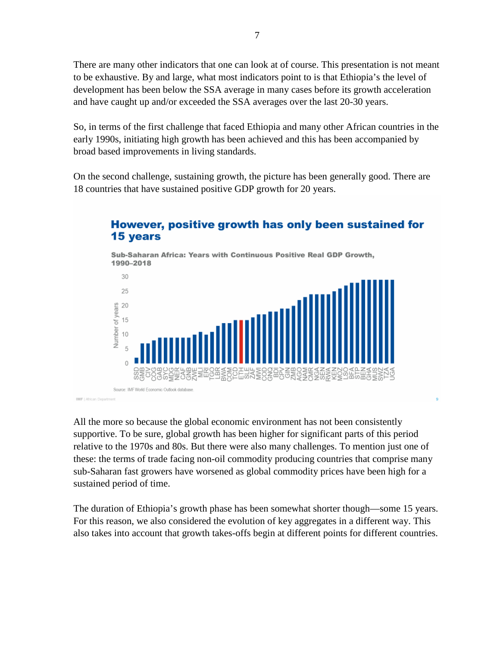There are many other indicators that one can look at of course. This presentation is not meant to be exhaustive. By and large, what most indicators point to is that Ethiopia's the level of development has been below the SSA average in many cases before its growth acceleration and have caught up and/or exceeded the SSA averages over the last 20-30 years.

So, in terms of the first challenge that faced Ethiopia and many other African countries in the early 1990s, initiating high growth has been achieved and this has been accompanied by broad based improvements in living standards.

On the second challenge, sustaining growth, the picture has been generally good. There are 18 countries that have sustained positive GDP growth for 20 years.



# However, positive growth has only been sustained for 15 years

All the more so because the global economic environment has not been consistently supportive. To be sure, global growth has been higher for significant parts of this period relative to the 1970s and 80s. But there were also many challenges. To mention just one of these: the terms of trade facing non-oil commodity producing countries that comprise many sub-Saharan fast growers have worsened as global commodity prices have been high for a sustained period of time.

The duration of Ethiopia's growth phase has been somewhat shorter though—some 15 years. For this reason, we also considered the evolution of key aggregates in a different way. This also takes into account that growth takes-offs begin at different points for different countries.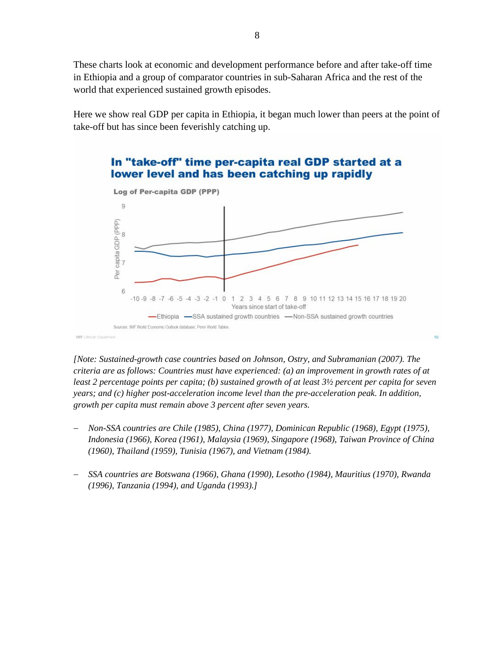These charts look at economic and development performance before and after take-off time in Ethiopia and a group of comparator countries in sub-Saharan Africa and the rest of the world that experienced sustained growth episodes.

Here we show real GDP per capita in Ethiopia, it began much lower than peers at the point of take-off but has since been feverishly catching up.





*[Note: Sustained-growth case countries based on Johnson, Ostry, and Subramanian (2007). The criteria are as follows: Countries must have experienced: (a) an improvement in growth rates of at least 2 percentage points per capita; (b) sustained growth of at least 3½ percent per capita for seven years; and (c) higher post-acceleration income level than the pre-acceleration peak. In addition, growth per capita must remain above 3 percent after seven years.* 

 $10<sup>1</sup>$ 

- − *Non-SSA countries are Chile (1985), China (1977), Dominican Republic (1968), Egypt (1975), Indonesia (1966), Korea (1961), Malaysia (1969), Singapore (1968), Taiwan Province of China (1960), Thailand (1959), Tunisia (1967), and Vietnam (1984).*
- − *SSA countries are Botswana (1966), Ghana (1990), Lesotho (1984), Mauritius (1970), Rwanda (1996), Tanzania (1994), and Uganda (1993).]*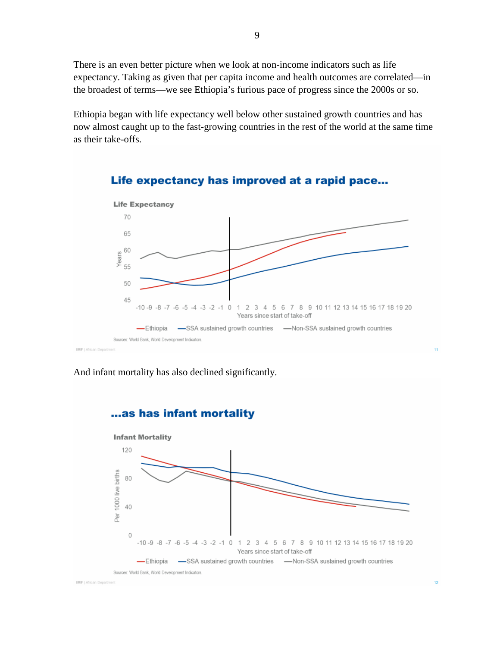There is an even better picture when we look at non-income indicators such as life expectancy. Taking as given that per capita income and health outcomes are correlated—in the broadest of terms—we see Ethiopia's furious pace of progress since the 2000s or so.

Ethiopia began with life expectancy well below other sustained growth countries and has now almost caught up to the fast-growing countries in the rest of the world at the same time as their take-offs.



### Life expectancy has improved at a rapid pace...

And infant mortality has also declined significantly.

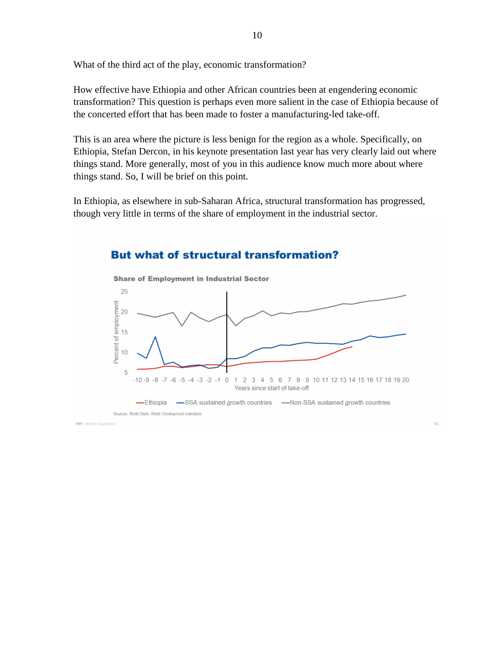What of the third act of the play, economic transformation?

How effective have Ethiopia and other African countries been at engendering economic transformation? This question is perhaps even more salient in the case of Ethiopia because of the concerted effort that has been made to foster a manufacturing-led take-off.

This is an area where the picture is less benign for the region as a whole. Specifically, on Ethiopia, Stefan Dercon, in his keynote presentation last year has very clearly laid out where things stand. More generally, most of you in this audience know much more about where things stand. So, I will be brief on this point.

In Ethiopia, as elsewhere in sub-Saharan Africa, structural transformation has progressed, though very little in terms of the share of employment in the industrial sector.



### **But what of structural transformation?**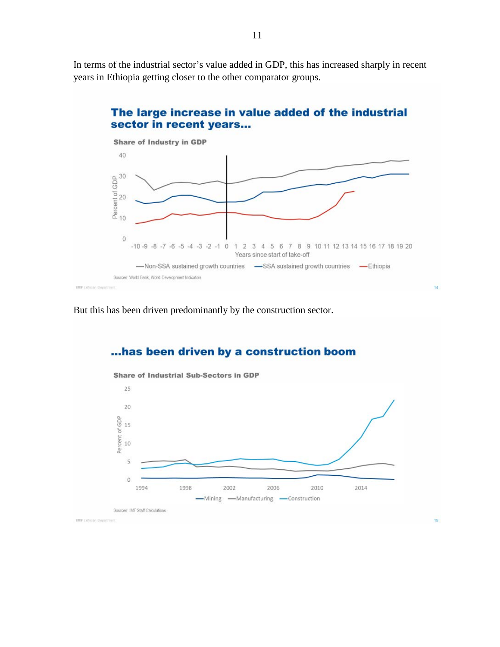In terms of the industrial sector's value added in GDP, this has increased sharply in recent years in Ethiopia getting closer to the other comparator groups.



 $14$ 

# The large increase in value added of the industrial

But this has been driven predominantly by the construction sector.

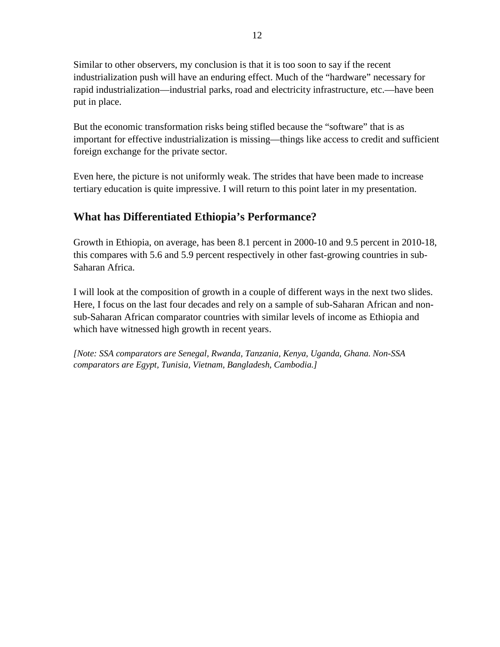Similar to other observers, my conclusion is that it is too soon to say if the recent industrialization push will have an enduring effect. Much of the "hardware" necessary for rapid industrialization—industrial parks, road and electricity infrastructure, etc.—have been put in place.

But the economic transformation risks being stifled because the "software" that is as important for effective industrialization is missing—things like access to credit and sufficient foreign exchange for the private sector.

Even here, the picture is not uniformly weak. The strides that have been made to increase tertiary education is quite impressive. I will return to this point later in my presentation.

# **What has Differentiated Ethiopia's Performance?**

Growth in Ethiopia, on average, has been 8.1 percent in 2000-10 and 9.5 percent in 2010-18, this compares with 5.6 and 5.9 percent respectively in other fast-growing countries in sub-Saharan Africa.

I will look at the composition of growth in a couple of different ways in the next two slides. Here, I focus on the last four decades and rely on a sample of sub-Saharan African and nonsub-Saharan African comparator countries with similar levels of income as Ethiopia and which have witnessed high growth in recent years.

*[Note: SSA comparators are Senegal, Rwanda, Tanzania, Kenya, Uganda, Ghana. Non-SSA comparators are Egypt, Tunisia, Vietnam, Bangladesh, Cambodia.]*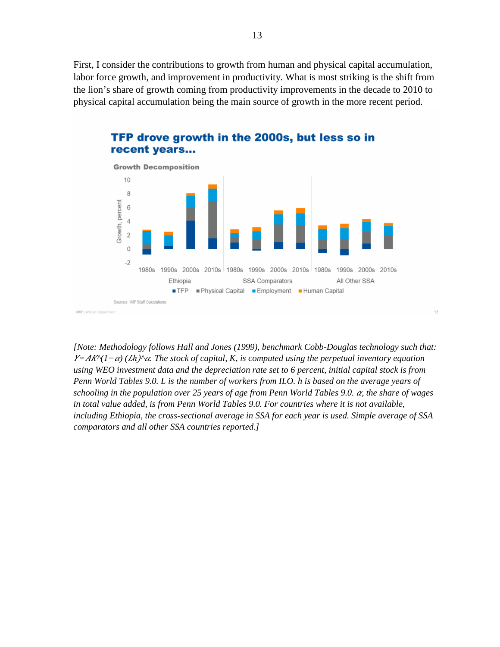First, I consider the contributions to growth from human and physical capital accumulation, labor force growth, and improvement in productivity. What is most striking is the shift from the lion's share of growth coming from productivity improvements in the decade to 2010 to physical capital accumulation being the main source of growth in the more recent period.



*[Note: Methodology follows Hall and Jones (1999), benchmark Cobb-Douglas technology such that:*   $F = AK^{\gamma}(1-\alpha)$  (*Lh*)<sup>*^o*</sup>. The stock of capital, K, is computed using the perpetual inventory equation *using WEO investment data and the depreciation rate set to 6 percent, initial capital stock is from Penn World Tables 9.0. L is the number of workers from ILO. h is based on the average years of schooling in the population over 25 years of age from Penn World Tables 9.0.*  $\alpha$ *, the share of wages in total value added, is from Penn World Tables 9.0. For countries where it is not available, including Ethiopia, the cross-sectional average in SSA for each year is used. Simple average of SSA comparators and all other SSA countries reported.]*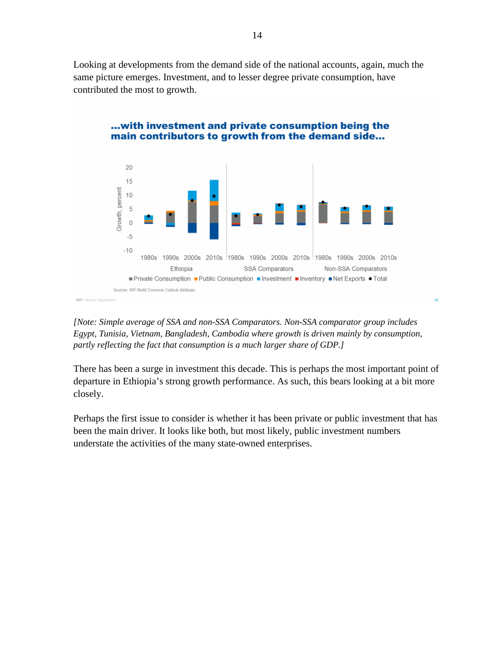Looking at developments from the demand side of the national accounts, again, much the same picture emerges. Investment, and to lesser degree private consumption, have contributed the most to growth.



#### ... with investment and private consumption being the main contributors to growth from the demand side...

*[Note: Simple average of SSA and non-SSA Comparators. Non-SSA comparator group includes Egypt, Tunisia, Vietnam, Bangladesh, Cambodia where growth is driven mainly by consumption, partly reflecting the fact that consumption is a much larger share of GDP.]*

18

There has been a surge in investment this decade. This is perhaps the most important point of departure in Ethiopia's strong growth performance. As such, this bears looking at a bit more closely.

Perhaps the first issue to consider is whether it has been private or public investment that has been the main driver. It looks like both, but most likely, public investment numbers understate the activities of the many state-owned enterprises.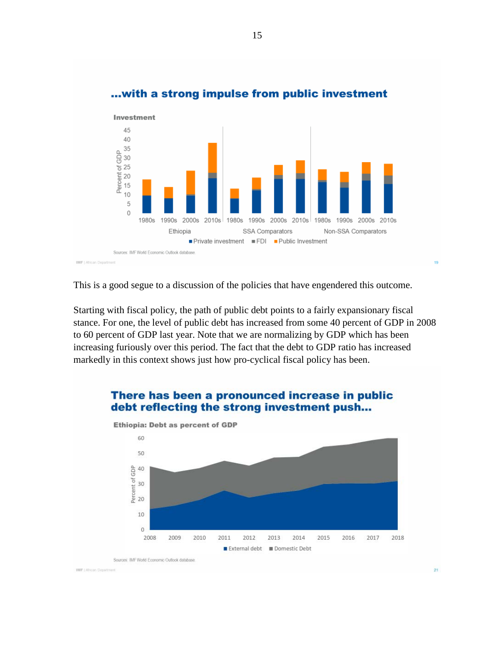

### ... with a strong impulse from public investment

15

This is a good segue to a discussion of the policies that have engendered this outcome.

Starting with fiscal policy, the path of public debt points to a fairly expansionary fiscal stance. For one, the level of public debt has increased from some 40 percent of GDP in 2008 to 60 percent of GDP last year. Note that we are normalizing by GDP which has been increasing furiously over this period. The fact that the debt to GDP ratio has increased markedly in this context shows just how pro-cyclical fiscal policy has been.

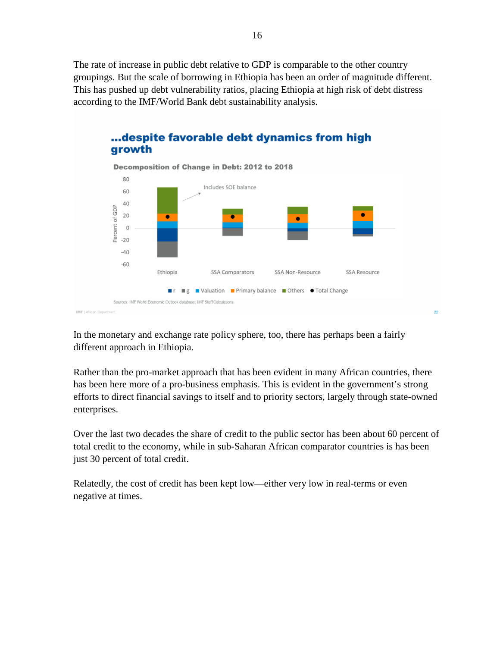The rate of increase in public debt relative to GDP is comparable to the other country groupings. But the scale of borrowing in Ethiopia has been an order of magnitude different. This has pushed up debt vulnerability ratios, placing Ethiopia at high risk of debt distress according to the IMF/World Bank debt sustainability analysis.



# ... despite favorable debt dynamics from high

In the monetary and exchange rate policy sphere, too, there has perhaps been a fairly different approach in Ethiopia.

Rather than the pro-market approach that has been evident in many African countries, there has been here more of a pro-business emphasis. This is evident in the government's strong efforts to direct financial savings to itself and to priority sectors, largely through state-owned enterprises.

Over the last two decades the share of credit to the public sector has been about 60 percent of total credit to the economy, while in sub-Saharan African comparator countries is has been just 30 percent of total credit.

Relatedly, the cost of credit has been kept low—either very low in real-terms or even negative at times.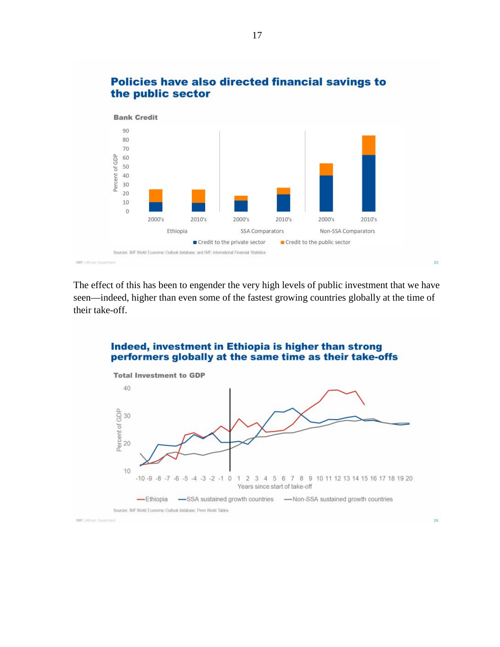

### Policies have also directed financial savings to the public sector

The effect of this has been to engender the very high levels of public investment that we have seen—indeed, higher than even some of the fastest growing countries globally at the time of their take-off.

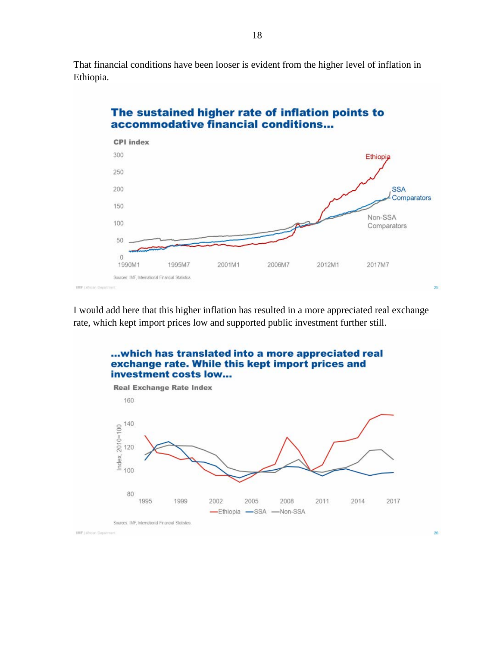That financial conditions have been looser is evident from the higher level of inflation in Ethiopia.



I would add here that this higher inflation has resulted in a more appreciated real exchange rate, which kept import prices low and supported public investment further still.

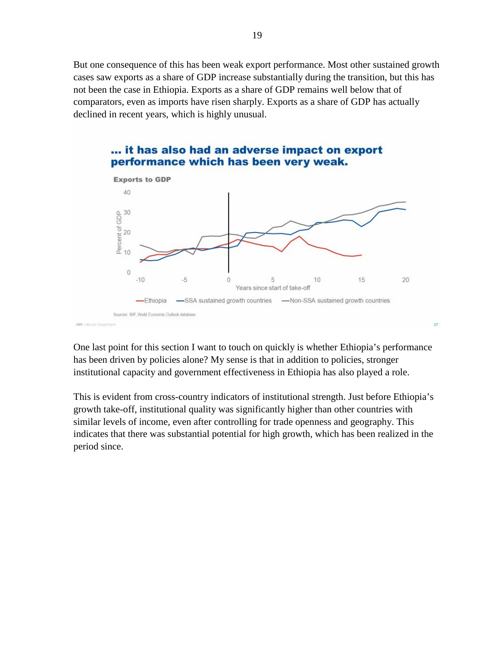But one consequence of this has been weak export performance. Most other sustained growth cases saw exports as a share of GDP increase substantially during the transition, but this has not been the case in Ethiopia. Exports as a share of GDP remains well below that of comparators, even as imports have risen sharply. Exports as a share of GDP has actually declined in recent years, which is highly unusual.



One last point for this section I want to touch on quickly is whether Ethiopia's performance has been driven by policies alone? My sense is that in addition to policies, stronger institutional capacity and government effectiveness in Ethiopia has also played a role.

This is evident from cross-country indicators of institutional strength. Just before Ethiopia's growth take-off, institutional quality was significantly higher than other countries with similar levels of income, even after controlling for trade openness and geography. This indicates that there was substantial potential for high growth, which has been realized in the period since.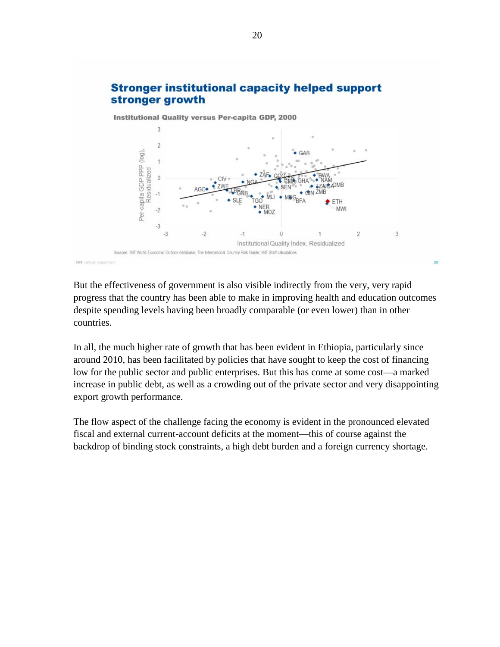

But the effectiveness of government is also visible indirectly from the very, very rapid progress that the country has been able to make in improving health and education outcomes despite spending levels having been broadly comparable (or even lower) than in other countries.

In all, the much higher rate of growth that has been evident in Ethiopia, particularly since around 2010, has been facilitated by policies that have sought to keep the cost of financing low for the public sector and public enterprises. But this has come at some cost—a marked increase in public debt, as well as a crowding out of the private sector and very disappointing export growth performance.

The flow aspect of the challenge facing the economy is evident in the pronounced elevated fiscal and external current-account deficits at the moment—this of course against the backdrop of binding stock constraints, a high debt burden and a foreign currency shortage.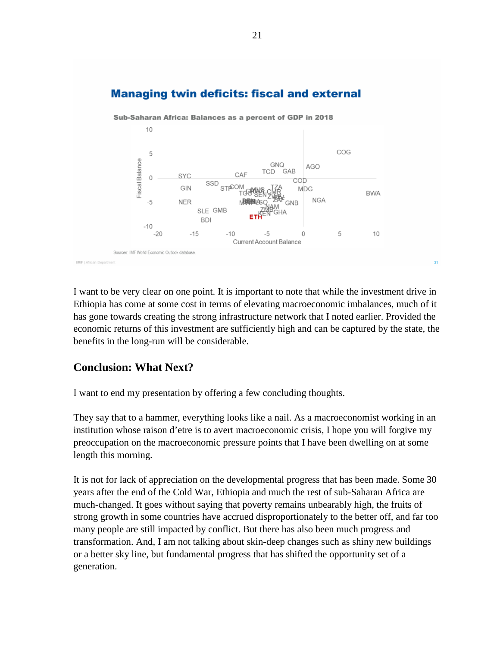# **Managing twin deficits: fiscal and external**



I want to be very clear on one point. It is important to note that while the investment drive in Ethiopia has come at some cost in terms of elevating macroeconomic imbalances, much of it has gone towards creating the strong infrastructure network that I noted earlier. Provided the economic returns of this investment are sufficiently high and can be captured by the state, the benefits in the long-run will be considerable.

# **Conclusion: What Next?**

I want to end my presentation by offering a few concluding thoughts.

They say that to a hammer, everything looks like a nail. As a macroeconomist working in an institution whose raison d'etre is to avert macroeconomic crisis, I hope you will forgive my preoccupation on the macroeconomic pressure points that I have been dwelling on at some length this morning.

It is not for lack of appreciation on the developmental progress that has been made. Some 30 years after the end of the Cold War, Ethiopia and much the rest of sub-Saharan Africa are much-changed. It goes without saying that poverty remains unbearably high, the fruits of strong growth in some countries have accrued disproportionately to the better off, and far too many people are still impacted by conflict. But there has also been much progress and transformation. And, I am not talking about skin-deep changes such as shiny new buildings or a better sky line, but fundamental progress that has shifted the opportunity set of a generation.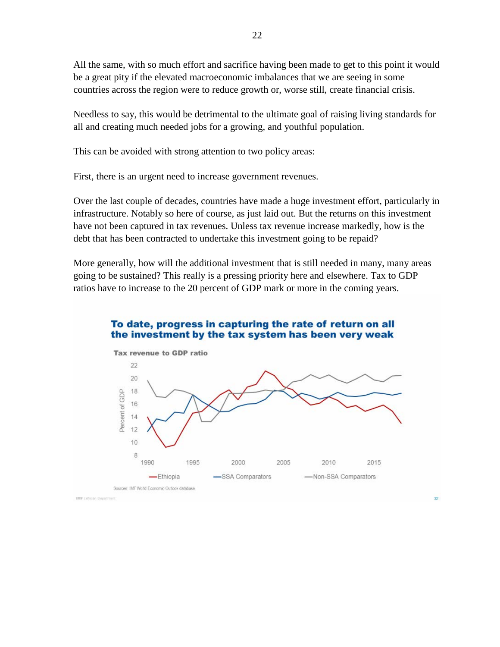All the same, with so much effort and sacrifice having been made to get to this point it would be a great pity if the elevated macroeconomic imbalances that we are seeing in some countries across the region were to reduce growth or, worse still, create financial crisis.

Needless to say, this would be detrimental to the ultimate goal of raising living standards for all and creating much needed jobs for a growing, and youthful population.

This can be avoided with strong attention to two policy areas:

First, there is an urgent need to increase government revenues.

Over the last couple of decades, countries have made a huge investment effort, particularly in infrastructure. Notably so here of course, as just laid out. But the returns on this investment have not been captured in tax revenues. Unless tax revenue increase markedly, how is the debt that has been contracted to undertake this investment going to be repaid?

More generally, how will the additional investment that is still needed in many, many areas going to be sustained? This really is a pressing priority here and elsewhere. Tax to GDP ratios have to increase to the 20 percent of GDP mark or more in the coming years.

### To date, progress in capturing the rate of return on all the investment by the tax system has been very weak